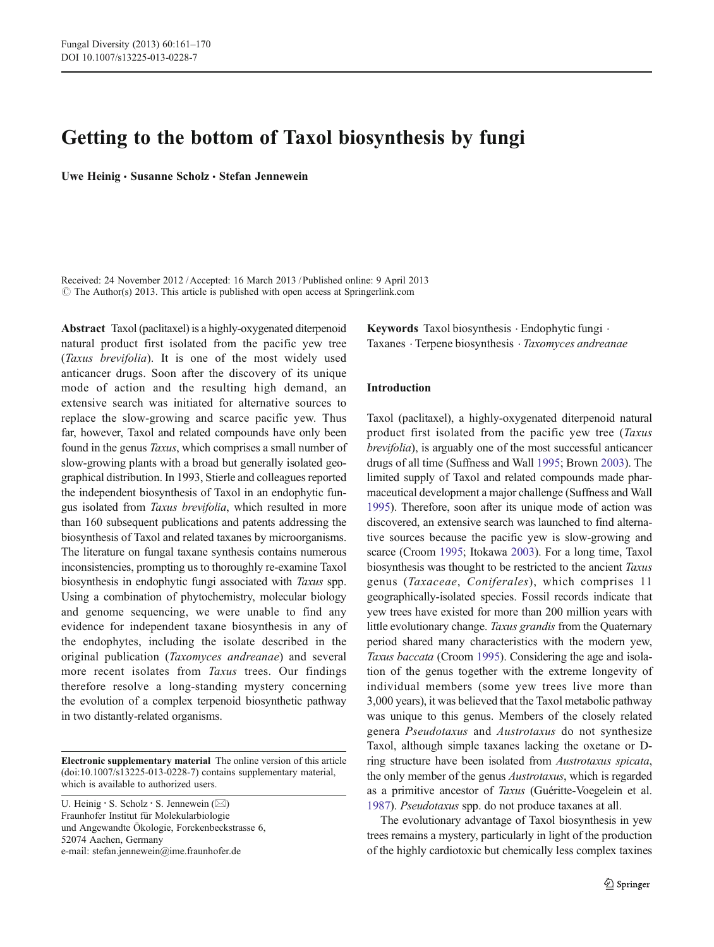# Getting to the bottom of Taxol biosynthesis by fungi

Uwe Heinig · Susanne Scholz · Stefan Jennewein

Received: 24 November 2012 /Accepted: 16 March 2013 / Published online: 9 April 2013  $\odot$  The Author(s) 2013. This article is published with open access at Springerlink.com

Abstract Taxol (paclitaxel) is a highly-oxygenated diterpenoid natural product first isolated from the pacific yew tree (Taxus brevifolia). It is one of the most widely used anticancer drugs. Soon after the discovery of its unique mode of action and the resulting high demand, an extensive search was initiated for alternative sources to replace the slow-growing and scarce pacific yew. Thus far, however, Taxol and related compounds have only been found in the genus Taxus, which comprises a small number of slow-growing plants with a broad but generally isolated geographical distribution. In 1993, Stierle and colleagues reported the independent biosynthesis of Taxol in an endophytic fungus isolated from Taxus brevifolia, which resulted in more than 160 subsequent publications and patents addressing the biosynthesis of Taxol and related taxanes by microorganisms. The literature on fungal taxane synthesis contains numerous inconsistencies, prompting us to thoroughly re-examine Taxol biosynthesis in endophytic fungi associated with Taxus spp. Using a combination of phytochemistry, molecular biology and genome sequencing, we were unable to find any evidence for independent taxane biosynthesis in any of the endophytes, including the isolate described in the original publication (Taxomyces andreanae) and several more recent isolates from Taxus trees. Our findings therefore resolve a long-standing mystery concerning the evolution of a complex terpenoid biosynthetic pathway in two distantly-related organisms.

Electronic supplementary material The online version of this article (doi:[10.1007/s13225-013-0228-7](http://dx.doi.org/10.1007/s13225-013-0228-7)) contains supplementary material, which is available to authorized users.

U. Heinig  $\cdot$  S. Scholz  $\cdot$  S. Jennewein ( $\boxtimes$ ) Fraunhofer Institut für Molekularbiologie und Angewandte Ökologie, Forckenbeckstrasse 6, 52074 Aachen, Germany e-mail: stefan.jennewein@ime.fraunhofer.de

Keywords Taxol biosynthesis . Endophytic fungi . Taxanes . Terpene biosynthesis . Taxomyces andreanae

## Introduction

Taxol (paclitaxel), a highly-oxygenated diterpenoid natural product first isolated from the pacific yew tree (Taxus brevifolia), is arguably one of the most successful anticancer drugs of all time (Suffness and Wall [1995](#page-9-0); Brown [2003](#page-8-0)). The limited supply of Taxol and related compounds made pharmaceutical development a major challenge (Suffness and Wall [1995\)](#page-9-0). Therefore, soon after its unique mode of action was discovered, an extensive search was launched to find alternative sources because the pacific yew is slow-growing and scarce (Croom [1995](#page-8-0); Itokawa [2003](#page-9-0)). For a long time, Taxol biosynthesis was thought to be restricted to the ancient Taxus genus (Taxaceae, Coniferales), which comprises 11 geographically-isolated species. Fossil records indicate that yew trees have existed for more than 200 million years with little evolutionary change. Taxus grandis from the Quaternary period shared many characteristics with the modern yew, Taxus baccata (Croom [1995](#page-8-0)). Considering the age and isolation of the genus together with the extreme longevity of individual members (some yew trees live more than 3,000 years), it was believed that the Taxol metabolic pathway was unique to this genus. Members of the closely related genera Pseudotaxus and Austrotaxus do not synthesize Taxol, although simple taxanes lacking the oxetane or Dring structure have been isolated from Austrotaxus spicata, the only member of the genus Austrotaxus, which is regarded as a primitive ancestor of Taxus (Guéritte-Voegelein et al. [1987\)](#page-8-0). Pseudotaxus spp. do not produce taxanes at all.

The evolutionary advantage of Taxol biosynthesis in yew trees remains a mystery, particularly in light of the production of the highly cardiotoxic but chemically less complex taxines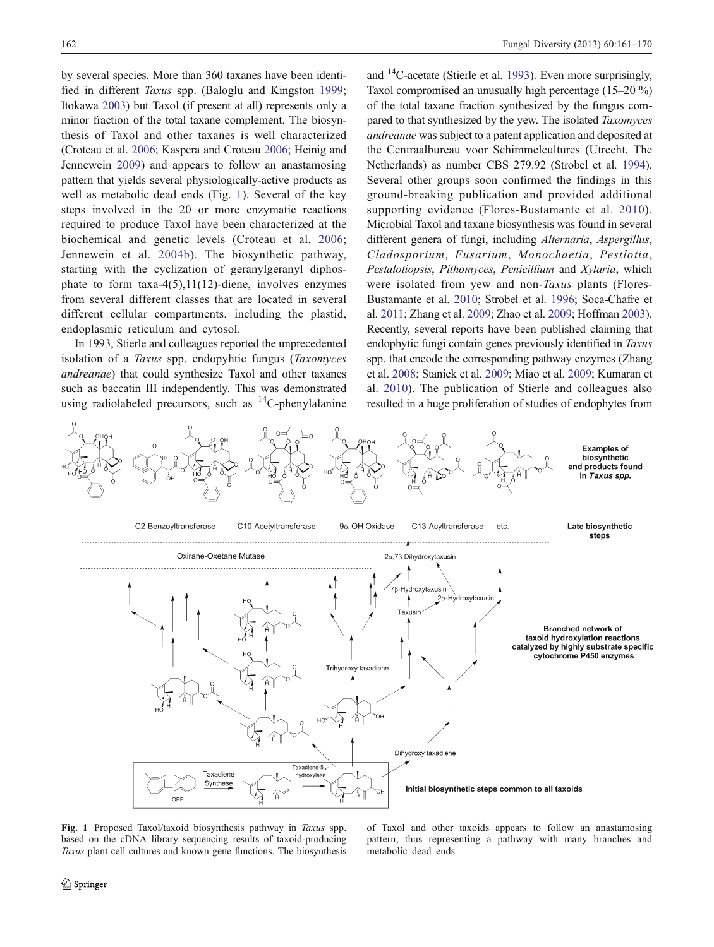by several species. More than 360 taxanes have been identi-fied in different Taxus spp. (Baloglu and Kingston [1999](#page-8-0); Itokawa [2003](#page-9-0)) but Taxol (if present at all) represents only a minor fraction of the total taxane complement. The biosynthesis of Taxol and other taxanes is well characterized (Croteau et al. [2006](#page-8-0); Kaspera and Croteau [2006](#page-9-0); Heinig and Jennewein [2009\)](#page-9-0) and appears to follow an anastamosing pattern that yields several physiologically-active products as well as metabolic dead ends (Fig. 1). Several of the key steps involved in the 20 or more enzymatic reactions required to produce Taxol have been characterized at the biochemical and genetic levels (Croteau et al. [2006](#page-8-0); Jennewein et al. [2004b\)](#page-9-0). The biosynthetic pathway, starting with the cyclization of geranylgeranyl diphosphate to form taxa-4(5),11(12)-diene, involves enzymes from several different classes that are located in several different cellular compartments, including the plastid, endoplasmic reticulum and cytosol.

In 1993, Stierle and colleagues reported the unprecedented isolation of a Taxus spp. endopyhtic fungus (Taxomyces andreanae) that could synthesize Taxol and other taxanes such as baccatin III independently. This was demonstrated using radiolabeled precursors, such as  ${}^{14}C$ -phenylalanine and 14C-acetate (Stierle et al. [1993](#page-9-0)). Even more surprisingly, Taxol compromised an unusually high percentage (15–20 %) of the total taxane fraction synthesized by the fungus compared to that synthesized by the yew. The isolated Taxomyces andreanae was subject to a patent application and deposited at the Centraalbureau voor Schimmelcultures (Utrecht, The Netherlands) as number CBS 279.92 (Strobel et al. [1994\)](#page-9-0). Several other groups soon confirmed the findings in this ground-breaking publication and provided additional supporting evidence (Flores-Bustamante et al. [2010](#page-8-0)). Microbial Taxol and taxane biosynthesis was found in several different genera of fungi, including Alternaria, Aspergillus, Cladosporium, Fusarium, Monochaetia, Pestlotia, Pestalotiopsis, Pithomyces, Penicillium and Xylaria, which were isolated from yew and non-Taxus plants (Flores-Bustamante et al. [2010](#page-8-0); Strobel et al. [1996](#page-9-0); Soca-Chafre et al. [2011;](#page-9-0) Zhang et al. [2009](#page-9-0); Zhao et al. [2009;](#page-9-0) Hoffman [2003\)](#page-9-0). Recently, several reports have been published claiming that endophytic fungi contain genes previously identified in Taxus spp. that encode the corresponding pathway enzymes (Zhang et al. [2008;](#page-9-0) Staniek et al. [2009](#page-9-0); Miao et al. [2009](#page-9-0); Kumaran et al. [2010](#page-9-0)). The publication of Stierle and colleagues also resulted in a huge proliferation of studies of endophytes from



Fig. 1 Proposed Taxol/taxoid biosynthesis pathway in Taxus spp. based on the cDNA library sequencing results of taxoid-producing Taxus plant cell cultures and known gene functions. The biosynthesis

of Taxol and other taxoids appears to follow an anastamosing pattern, thus representing a pathway with many branches and metabolic dead ends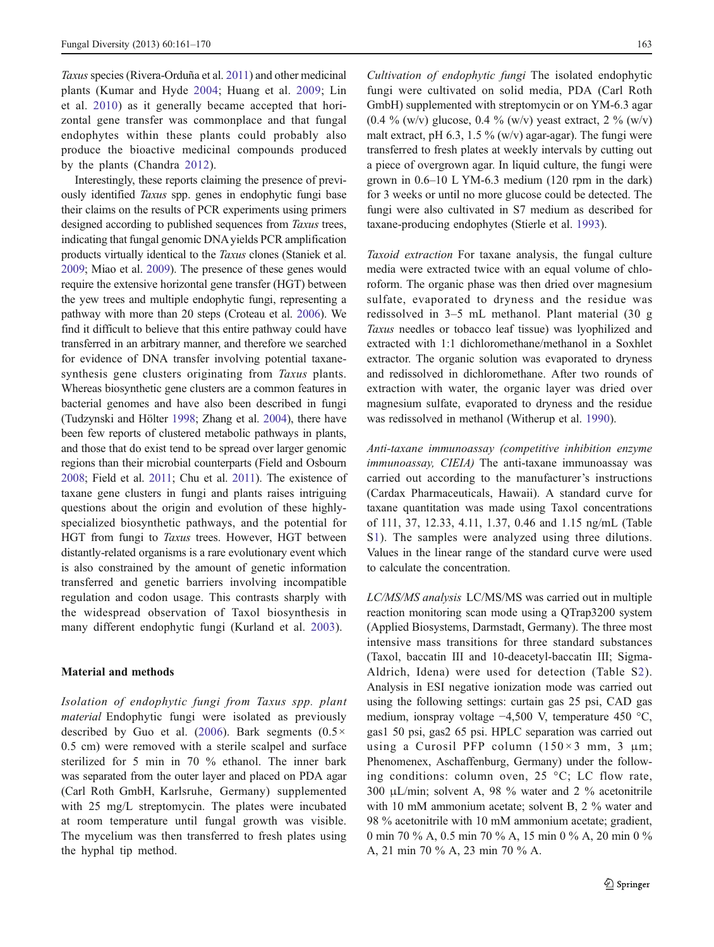Taxus species (Rivera-Orduña et al. [2011\)](#page-9-0) and other medicinal plants (Kumar and Hyde [2004](#page-9-0); Huang et al. [2009;](#page-9-0) Lin et al. [2010](#page-9-0)) as it generally became accepted that horizontal gene transfer was commonplace and that fungal endophytes within these plants could probably also produce the bioactive medicinal compounds produced by the plants (Chandra [2012\)](#page-8-0).

Interestingly, these reports claiming the presence of previously identified Taxus spp. genes in endophytic fungi base their claims on the results of PCR experiments using primers designed according to published sequences from Taxus trees, indicating that fungal genomic DNA yields PCR amplification products virtually identical to the Taxus clones (Staniek et al. [2009;](#page-9-0) Miao et al. [2009\)](#page-9-0). The presence of these genes would require the extensive horizontal gene transfer (HGT) between the yew trees and multiple endophytic fungi, representing a pathway with more than 20 steps (Croteau et al. [2006](#page-8-0)). We find it difficult to believe that this entire pathway could have transferred in an arbitrary manner, and therefore we searched for evidence of DNA transfer involving potential taxanesynthesis gene clusters originating from Taxus plants. Whereas biosynthetic gene clusters are a common features in bacterial genomes and have also been described in fungi (Tudzynski and Hölter [1998;](#page-9-0) Zhang et al. [2004](#page-9-0)), there have been few reports of clustered metabolic pathways in plants, and those that do exist tend to be spread over larger genomic regions than their microbial counterparts (Field and Osbourn [2008;](#page-8-0) Field et al. [2011;](#page-8-0) Chu et al. [2011](#page-8-0)). The existence of taxane gene clusters in fungi and plants raises intriguing questions about the origin and evolution of these highlyspecialized biosynthetic pathways, and the potential for HGT from fungi to *Taxus* trees. However, HGT between distantly-related organisms is a rare evolutionary event which is also constrained by the amount of genetic information transferred and genetic barriers involving incompatible regulation and codon usage. This contrasts sharply with the widespread observation of Taxol biosynthesis in many different endophytic fungi (Kurland et al. [2003\)](#page-9-0).

#### Material and methods

Isolation of endophytic fungi from Taxus spp. plant material Endophytic fungi were isolated as previously described by Guo et al. ([2006\)](#page-9-0). Bark segments ( $0.5 \times$ 0.5 cm) were removed with a sterile scalpel and surface sterilized for 5 min in 70 % ethanol. The inner bark was separated from the outer layer and placed on PDA agar (Carl Roth GmbH, Karlsruhe, Germany) supplemented with 25 mg/L streptomycin. The plates were incubated at room temperature until fungal growth was visible. The mycelium was then transferred to fresh plates using the hyphal tip method.

Cultivation of endophytic fungi The isolated endophytic fungi were cultivated on solid media, PDA (Carl Roth GmbH) supplemented with streptomycin or on YM-6.3 agar (0.4 % (w/v) glucose, 0.4 % (w/v) yeast extract, 2 % (w/v) malt extract, pH 6.3, 1.5 % (w/v) agar-agar). The fungi were transferred to fresh plates at weekly intervals by cutting out a piece of overgrown agar. In liquid culture, the fungi were grown in 0.6–10 L YM-6.3 medium (120 rpm in the dark) for 3 weeks or until no more glucose could be detected. The fungi were also cultivated in S7 medium as described for taxane-producing endophytes (Stierle et al. [1993\)](#page-9-0).

Taxoid extraction For taxane analysis, the fungal culture media were extracted twice with an equal volume of chloroform. The organic phase was then dried over magnesium sulfate, evaporated to dryness and the residue was redissolved in 3–5 mL methanol. Plant material (30 g Taxus needles or tobacco leaf tissue) was lyophilized and extracted with 1:1 dichloromethane/methanol in a Soxhlet extractor. The organic solution was evaporated to dryness and redissolved in dichloromethane. After two rounds of extraction with water, the organic layer was dried over magnesium sulfate, evaporated to dryness and the residue was redissolved in methanol (Witherup et al. [1990\)](#page-9-0).

Anti-taxane immunoassay (competitive inhibition enzyme immunoassay, CIEIA) The anti-taxane immunoassay was carried out according to the manufacturer's instructions (Cardax Pharmaceuticals, Hawaii). A standard curve for taxane quantitation was made using Taxol concentrations of 111, 37, 12.33, 4.11, 1.37, 0.46 and 1.15 ng/mL (Table S1). The samples were analyzed using three dilutions. Values in the linear range of the standard curve were used to calculate the concentration.

LC/MS/MS analysis LC/MS/MS was carried out in multiple reaction monitoring scan mode using a QTrap3200 system (Applied Biosystems, Darmstadt, Germany). The three most intensive mass transitions for three standard substances (Taxol, baccatin III and 10-deacetyl-baccatin III; Sigma-Aldrich, Idena) were used for detection (Table S2). Analysis in ESI negative ionization mode was carried out using the following settings: curtain gas 25 psi, CAD gas medium, ionspray voltage −4,500 V, temperature 450 °C, gas1 50 psi, gas2 65 psi. HPLC separation was carried out using a Curosil PFP column  $(150 \times 3 \text{ mm}, 3 \text{ mm})$ ; Phenomenex, Aschaffenburg, Germany) under the following conditions: column oven, 25 °C; LC flow rate, 300 μL/min; solvent A, 98 % water and 2 % acetonitrile with 10 mM ammonium acetate; solvent B, 2 % water and 98 % acetonitrile with 10 mM ammonium acetate; gradient, 0 min 70 % A, 0.5 min 70 % A, 15 min 0 % A, 20 min 0 % A, 21 min 70 % A, 23 min 70 % A.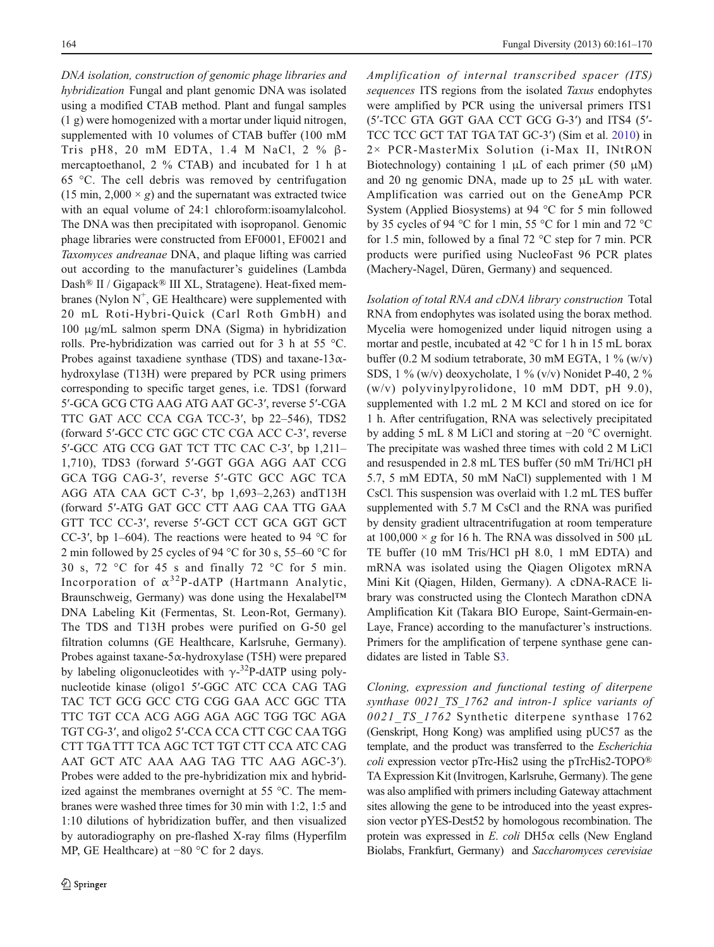DNA isolation, construction of genomic phage libraries and hybridization Fungal and plant genomic DNA was isolated using a modified CTAB method. Plant and fungal samples (1 g) were homogenized with a mortar under liquid nitrogen, supplemented with 10 volumes of CTAB buffer (100 mM Tris pH8, 20 mM EDTA, 1.4 M NaCl, 2 % βmercaptoethanol, 2 % CTAB) and incubated for 1 h at 65 °C. The cell debris was removed by centrifugation (15 min,  $2,000 \times g$ ) and the supernatant was extracted twice with an equal volume of 24:1 chloroform:isoamylalcohol. The DNA was then precipitated with isopropanol. Genomic phage libraries were constructed from EF0001, EF0021 and Taxomyces andreanae DNA, and plaque lifting was carried out according to the manufacturer's guidelines (Lambda Dash® II / Gigapack® III XL, Stratagene). Heat-fixed membranes (Nylon  $N^+$ , GE Healthcare) were supplemented with 20 mL Roti-Hybri-Quick (Carl Roth GmbH) and 100 μg/mL salmon sperm DNA (Sigma) in hybridization rolls. Pre-hybridization was carried out for 3 h at 55 °C. Probes against taxadiene synthase (TDS) and taxane-13 $\alpha$ hydroxylase (T13H) were prepared by PCR using primers corresponding to specific target genes, i.e. TDS1 (forward 5′-GCA GCG CTG AAG ATG AAT GC-3′, reverse 5′-CGA TTC GAT ACC CCA CGA TCC-3′, bp 22–546), TDS2 (forward 5′-GCC CTC GGC CTC CGA ACC C-3′, reverse 5′-GCC ATG CCG GAT TCT TTC CAC C-3′, bp 1,211– 1,710), TDS3 (forward 5′-GGT GGA AGG AAT CCG GCA TGG CAG-3′, reverse 5′-GTC GCC AGC TCA AGG ATA CAA GCT C-3′, bp 1,693–2,263) andT13H (forward 5′-ATG GAT GCC CTT AAG CAA TTG GAA GTT TCC CC-3′, reverse 5′-GCT CCT GCA GGT GCT CC-3′, bp 1–604). The reactions were heated to 94 °C for 2 min followed by 25 cycles of 94 °C for 30 s, 55–60 °C for 30 s, 72 °C for 45 s and finally 72 °C for 5 min. Incorporation of  $\alpha^{32}P$ -dATP (Hartmann Analytic, Braunschweig, Germany) was done using the Hexalabel™ DNA Labeling Kit (Fermentas, St. Leon-Rot, Germany). The TDS and T13H probes were purified on G-50 gel filtration columns (GE Healthcare, Karlsruhe, Germany). Probes against taxane- $5\alpha$ -hydroxylase (T5H) were prepared by labeling oligonucleotides with  $\gamma$ -<sup>32</sup>P-dATP using polynucleotide kinase (oligo1 5′-GGC ATC CCA CAG TAG TAC TCT GCG GCC CTG CGG GAA ACC GGC TTA TTC TGT CCA ACG AGG AGA AGC TGG TGC AGA TGT CG-3′, and oligo2 5′-CCA CCA CTT CGC CAA TGG CTT TGA TTT TCA AGC TCT TGT CTT CCA ATC CAG AAT GCT ATC AAA AAG TAG TTC AAG AGC-3′). Probes were added to the pre-hybridization mix and hybridized against the membranes overnight at 55 °C. The membranes were washed three times for 30 min with 1:2, 1:5 and 1:10 dilutions of hybridization buffer, and then visualized by autoradiography on pre-flashed X-ray films (Hyperfilm MP, GE Healthcare) at −80 °C for 2 days.

Amplification of internal transcribed spacer (ITS) sequences ITS regions from the isolated Taxus endophytes were amplified by PCR using the universal primers ITS1 (5′-TCC GTA GGT GAA CCT GCG G-3′) and ITS4 (5′- TCC TCC GCT TAT TGA TAT GC-3′) (Sim et al. [2010](#page-9-0)) in 2× PCR-MasterMix Solution (i-Max II, INtRON Biotechnology) containing 1 μL of each primer (50 μM) and 20 ng genomic DNA, made up to 25 μL with water. Amplification was carried out on the GeneAmp PCR System (Applied Biosystems) at 94 °C for 5 min followed by 35 cycles of 94 °C for 1 min, 55 °C for 1 min and 72 °C for 1.5 min, followed by a final 72 °C step for 7 min. PCR products were purified using NucleoFast 96 PCR plates (Machery-Nagel, Düren, Germany) and sequenced.

Isolation of total RNA and cDNA library construction Total RNA from endophytes was isolated using the borax method. Mycelia were homogenized under liquid nitrogen using a mortar and pestle, incubated at 42 °C for 1 h in 15 mL borax buffer (0.2 M sodium tetraborate, 30 mM EGTA, 1 % (w/v) SDS,  $1\%$  (w/v) deoxycholate,  $1\%$  (v/v) Nonidet P-40,  $2\%$ (w/v) polyvinylpyrolidone, 10 mM DDT, pH 9.0), supplemented with 1.2 mL 2 M KCl and stored on ice for 1 h. After centrifugation, RNA was selectively precipitated by adding 5 mL 8 M LiCl and storing at −20 °C overnight. The precipitate was washed three times with cold 2 M LiCl and resuspended in 2.8 mL TES buffer (50 mM Tri/HCl pH 5.7, 5 mM EDTA, 50 mM NaCl) supplemented with 1 M CsCl. This suspension was overlaid with 1.2 mL TES buffer supplemented with 5.7 M CsCl and the RNA was purified by density gradient ultracentrifugation at room temperature at  $100,000 \times g$  for 16 h. The RNA was dissolved in 500 µL TE buffer (10 mM Tris/HCl pH 8.0, 1 mM EDTA) and mRNA was isolated using the Qiagen Oligotex mRNA Mini Kit (Qiagen, Hilden, Germany). A cDNA-RACE library was constructed using the Clontech Marathon cDNA Amplification Kit (Takara BIO Europe, Saint-Germain-en-Laye, France) according to the manufacturer's instructions. Primers for the amplification of terpene synthase gene candidates are listed in Table S3.

Cloning, expression and functional testing of diterpene synthase 0021 TS 1762 and intron-1 splice variants of 0021 TS 1762 Synthetic diterpene synthase 1762 (Genskript, Hong Kong) was amplified using pUC57 as the template, and the product was transferred to the Escherichia coli expression vector pTrc-His2 using the pTrcHis2-TOPO® TA Expression Kit (Invitrogen, Karlsruhe, Germany). The gene was also amplified with primers including Gateway attachment sites allowing the gene to be introduced into the yeast expression vector pYES-Dest52 by homologous recombination. The protein was expressed in E. coli DH5 $\alpha$  cells (New England Biolabs, Frankfurt, Germany) and Saccharomyces cerevisiae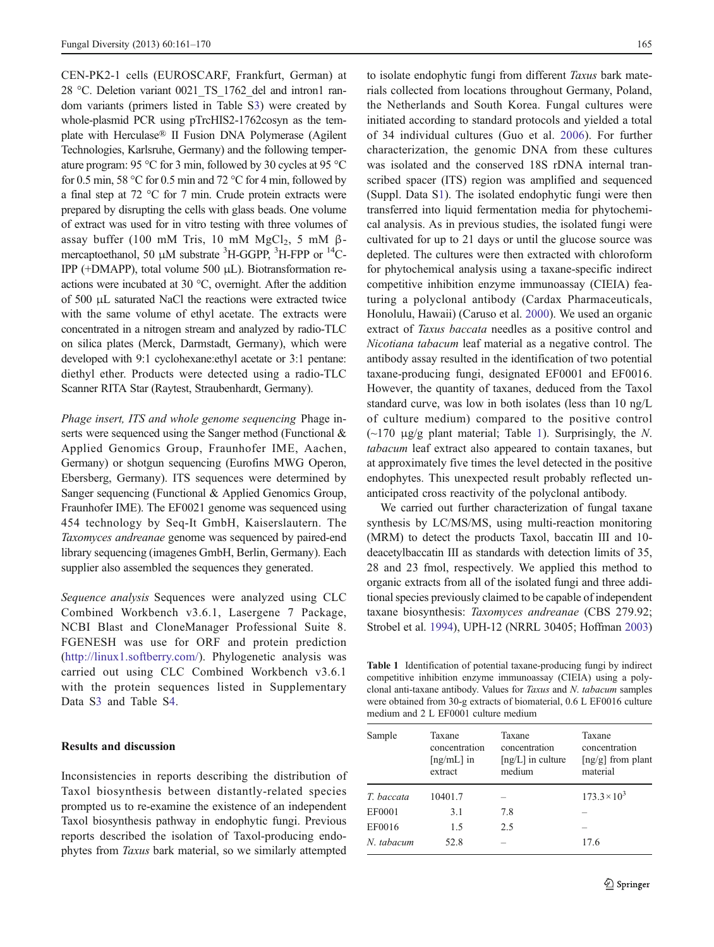CEN-PK2-1 cells (EUROSCARF, Frankfurt, German) at 28 °C. Deletion variant 0021 TS 1762 del and intron1 random variants (primers listed in Table S3) were created by whole-plasmid PCR using pTrcHIS2-1762cosyn as the template with Herculase® II Fusion DNA Polymerase (Agilent Technologies, Karlsruhe, Germany) and the following temperature program: 95 °C for 3 min, followed by 30 cycles at 95 °C for 0.5 min, 58  $\degree$ C for 0.5 min and 72  $\degree$ C for 4 min, followed by a final step at 72 °C for 7 min. Crude protein extracts were prepared by disrupting the cells with glass beads. One volume of extract was used for in vitro testing with three volumes of assay buffer (100 mM Tris, 10 mM MgCl<sub>2</sub>, 5 mM βmercaptoethanol, 50 μM substrate <sup>3</sup>H-GGPP, <sup>3</sup>H-FPP or <sup>14</sup>C-IPP (+DMAPP), total volume 500 μL). Biotransformation reactions were incubated at 30 °C, overnight. After the addition of 500 μL saturated NaCl the reactions were extracted twice with the same volume of ethyl acetate. The extracts were concentrated in a nitrogen stream and analyzed by radio-TLC on silica plates (Merck, Darmstadt, Germany), which were developed with 9:1 cyclohexane:ethyl acetate or 3:1 pentane: diethyl ether. Products were detected using a radio-TLC Scanner RITA Star (Raytest, Straubenhardt, Germany).

Phage insert, ITS and whole genome sequencing Phage inserts were sequenced using the Sanger method (Functional & Applied Genomics Group, Fraunhofer IME, Aachen, Germany) or shotgun sequencing (Eurofins MWG Operon, Ebersberg, Germany). ITS sequences were determined by Sanger sequencing (Functional & Applied Genomics Group, Fraunhofer IME). The EF0021 genome was sequenced using 454 technology by Seq-It GmbH, Kaiserslautern. The Taxomyces andreanae genome was sequenced by paired-end library sequencing (imagenes GmbH, Berlin, Germany). Each supplier also assembled the sequences they generated.

Sequence analysis Sequences were analyzed using CLC Combined Workbench v3.6.1, Lasergene 7 Package, NCBI Blast and CloneManager Professional Suite 8. FGENESH was use for ORF and protein prediction [\(http://linux1.softberry.com/\)](http://linux1.softberry.com/). Phylogenetic analysis was carried out using CLC Combined Workbench v3.6.1 with the protein sequences listed in Supplementary Data S3 and Table S4.

# Results and discussion

Inconsistencies in reports describing the distribution of Taxol biosynthesis between distantly-related species prompted us to re-examine the existence of an independent Taxol biosynthesis pathway in endophytic fungi. Previous reports described the isolation of Taxol-producing endophytes from Taxus bark material, so we similarly attempted

to isolate endophytic fungi from different Taxus bark materials collected from locations throughout Germany, Poland, the Netherlands and South Korea. Fungal cultures were initiated according to standard protocols and yielded a total of 34 individual cultures (Guo et al. [2006\)](#page-9-0). For further characterization, the genomic DNA from these cultures was isolated and the conserved 18S rDNA internal transcribed spacer (ITS) region was amplified and sequenced (Suppl. Data S1). The isolated endophytic fungi were then transferred into liquid fermentation media for phytochemical analysis. As in previous studies, the isolated fungi were cultivated for up to 21 days or until the glucose source was depleted. The cultures were then extracted with chloroform for phytochemical analysis using a taxane-specific indirect competitive inhibition enzyme immunoassay (CIEIA) featuring a polyclonal antibody (Cardax Pharmaceuticals, Honolulu, Hawaii) (Caruso et al. [2000](#page-8-0)). We used an organic extract of Taxus baccata needles as a positive control and Nicotiana tabacum leaf material as a negative control. The antibody assay resulted in the identification of two potential taxane-producing fungi, designated EF0001 and EF0016. However, the quantity of taxanes, deduced from the Taxol standard curve, was low in both isolates (less than 10 ng/L of culture medium) compared to the positive control ( $\sim$ 170 μg/g plant material; Table 1). Surprisingly, the N. tabacum leaf extract also appeared to contain taxanes, but at approximately five times the level detected in the positive endophytes. This unexpected result probably reflected unanticipated cross reactivity of the polyclonal antibody.

We carried out further characterization of fungal taxane synthesis by LC/MS/MS, using multi-reaction monitoring (MRM) to detect the products Taxol, baccatin III and 10 deacetylbaccatin III as standards with detection limits of 35, 28 and 23 fmol, respectively. We applied this method to organic extracts from all of the isolated fungi and three additional species previously claimed to be capable of independent taxane biosynthesis: Taxomyces andreanae (CBS 279.92; Strobel et al. [1994](#page-9-0)), UPH-12 (NRRL 30405; Hoffman [2003](#page-9-0))

Table 1 Identification of potential taxane-producing fungi by indirect competitive inhibition enzyme immunoassay (CIEIA) using a polyclonal anti-taxane antibody. Values for Taxus and N. tabacum samples were obtained from 30-g extracts of biomaterial, 0.6 L EF0016 culture medium and 2 L EF0001 culture medium

| Sample     | Taxane<br>concentration<br>$\lceil$ ng/mL $\rceil$ in<br>extract | Taxane<br>concentration<br>$[ng/L]$ in culture<br>medium | Taxane<br>concentration<br>$\lceil ng/g \rceil$ from plant<br>material |
|------------|------------------------------------------------------------------|----------------------------------------------------------|------------------------------------------------------------------------|
| T. baccata | 10401.7                                                          |                                                          | $173.3 \times 10^3$                                                    |
| EF0001     | 3.1                                                              | 7.8                                                      |                                                                        |
| EF0016     | 1.5                                                              | 2.5                                                      |                                                                        |
| N. tabacum | 52.8                                                             |                                                          | 17.6                                                                   |
|            |                                                                  |                                                          |                                                                        |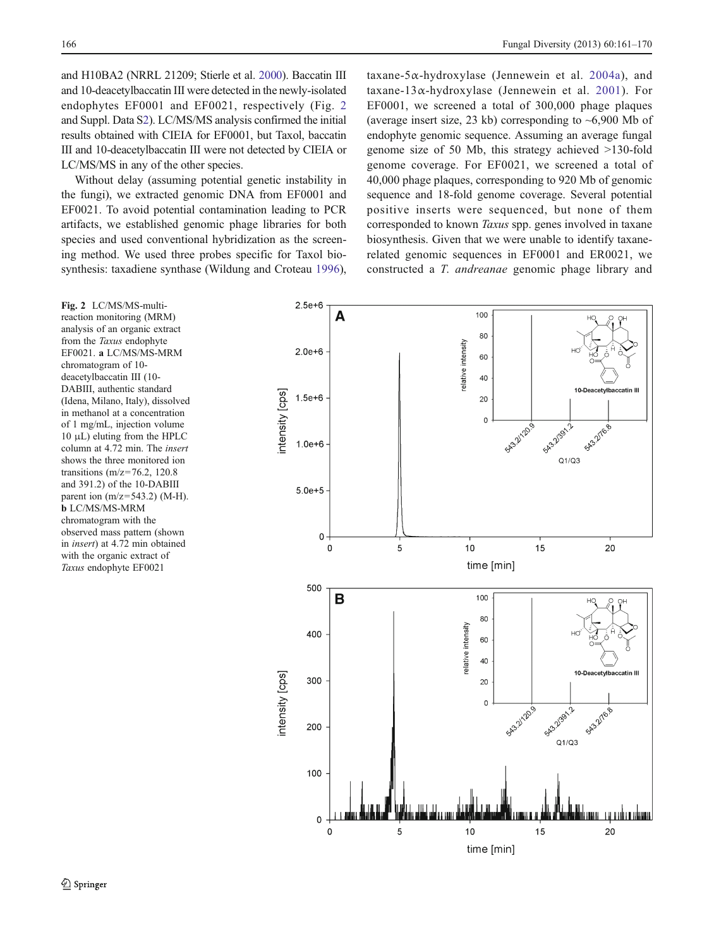166 Fungal Diversity (2013) 60:161–170

and H10BA2 (NRRL 21209; Stierle et al. [2000](#page-9-0)). Baccatin III and 10-deacetylbaccatin III were detected in the newly-isolated endophytes EF0001 and EF0021, respectively (Fig. 2 and Suppl. Data S2). LC/MS/MS analysis confirmed the initial results obtained with CIEIA for EF0001, but Taxol, baccatin III and 10-deacetylbaccatin III were not detected by CIEIA or LC/MS/MS in any of the other species.

Without delay (assuming potential genetic instability in the fungi), we extracted genomic DNA from EF0001 and EF0021. To avoid potential contamination leading to PCR artifacts, we established genomic phage libraries for both species and used conventional hybridization as the screening method. We used three probes specific for Taxol biosynthesis: taxadiene synthase (Wildung and Croteau [1996](#page-9-0)),

taxane-5α-hydroxylase (Jennewein et al. [2004a\)](#page-9-0), and taxane-13 $\alpha$ -hydroxylase (Jennewein et al. [2001\)](#page-9-0). For EF0001, we screened a total of 300,000 phage plaques (average insert size, 23 kb) corresponding to  $\sim 6,900$  Mb of endophyte genomic sequence. Assuming an average fungal genome size of 50 Mb, this strategy achieved >130-fold genome coverage. For EF0021, we screened a total of 40,000 phage plaques, corresponding to 920 Mb of genomic sequence and 18-fold genome coverage. Several potential positive inserts were sequenced, but none of them corresponded to known Taxus spp. genes involved in taxane biosynthesis. Given that we were unable to identify taxanerelated genomic sequences in EF0001 and ER0021, we constructed a T. andreanae genomic phage library and

Fig. 2 LC/MS/MS-multireaction monitoring (MRM) analysis of an organic extract from the Taxus endophyte EF0021. a LC/MS/MS-MRM chromatogram of 10 deacetylbaccatin III (10- DABIII, authentic standard (Idena, Milano, Italy), dissolved in methanol at a concentration of 1 mg/mL, injection volume 10 μL) eluting from the HPLC column at 4.72 min. The insert shows the three monitored ion transitions (m/z=76.2, 120.8 and 391.2) of the 10-DABIII parent ion (m/z=543.2) (M-H). b LC/MS/MS-MRM chromatogram with the observed mass pattern (shown in insert) at 4.72 min obtained with the organic extract of Taxus endophyte EF0021

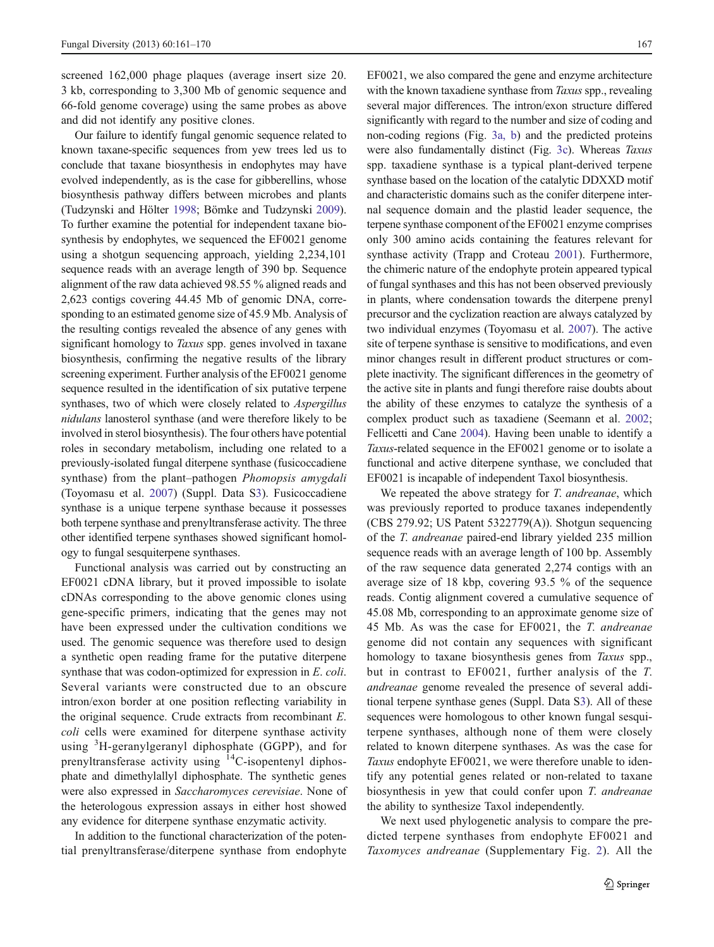screened 162,000 phage plaques (average insert size 20. 3 kb, corresponding to 3,300 Mb of genomic sequence and 66-fold genome coverage) using the same probes as above and did not identify any positive clones.

Our failure to identify fungal genomic sequence related to known taxane-specific sequences from yew trees led us to conclude that taxane biosynthesis in endophytes may have evolved independently, as is the case for gibberellins, whose biosynthesis pathway differs between microbes and plants (Tudzynski and Hölter [1998;](#page-9-0) Bömke and Tudzynski [2009\)](#page-8-0). To further examine the potential for independent taxane biosynthesis by endophytes, we sequenced the EF0021 genome using a shotgun sequencing approach, yielding 2,234,101 sequence reads with an average length of 390 bp. Sequence alignment of the raw data achieved 98.55 % aligned reads and 2,623 contigs covering 44.45 Mb of genomic DNA, corresponding to an estimated genome size of 45.9 Mb. Analysis of the resulting contigs revealed the absence of any genes with significant homology to *Taxus* spp. genes involved in taxane biosynthesis, confirming the negative results of the library screening experiment. Further analysis of the EF0021 genome sequence resulted in the identification of six putative terpene synthases, two of which were closely related to Aspergillus nidulans lanosterol synthase (and were therefore likely to be involved in sterol biosynthesis). The four others have potential roles in secondary metabolism, including one related to a previously-isolated fungal diterpene synthase (fusicoccadiene synthase) from the plant–pathogen Phomopsis amygdali (Toyomasu et al. [2007\)](#page-9-0) (Suppl. Data S3). Fusicoccadiene synthase is a unique terpene synthase because it possesses both terpene synthase and prenyltransferase activity. The three other identified terpene synthases showed significant homology to fungal sesquiterpene synthases.

Functional analysis was carried out by constructing an EF0021 cDNA library, but it proved impossible to isolate cDNAs corresponding to the above genomic clones using gene-specific primers, indicating that the genes may not have been expressed under the cultivation conditions we used. The genomic sequence was therefore used to design a synthetic open reading frame for the putative diterpene synthase that was codon-optimized for expression in E. coli. Several variants were constructed due to an obscure intron/exon border at one position reflecting variability in the original sequence. Crude extracts from recombinant E. coli cells were examined for diterpene synthase activity using <sup>3</sup>H-geranylgeranyl diphosphate (GGPP), and for prenyltransferase activity using <sup>14</sup>C-isopentenyl diphosphate and dimethylallyl diphosphate. The synthetic genes were also expressed in Saccharomyces cerevisiae. None of the heterologous expression assays in either host showed any evidence for diterpene synthase enzymatic activity.

In addition to the functional characterization of the potential prenyltransferase/diterpene synthase from endophyte

EF0021, we also compared the gene and enzyme architecture with the known taxadiene synthase from *Taxus* spp., revealing several major differences. The intron/exon structure differed significantly with regard to the number and size of coding and non-coding regions (Fig. [3a, b](#page-7-0)) and the predicted proteins were also fundamentally distinct (Fig. [3c\)](#page-7-0). Whereas Taxus spp. taxadiene synthase is a typical plant-derived terpene synthase based on the location of the catalytic DDXXD motif and characteristic domains such as the conifer diterpene internal sequence domain and the plastid leader sequence, the terpene synthase component of the EF0021 enzyme comprises only 300 amino acids containing the features relevant for synthase activity (Trapp and Croteau [2001\)](#page-9-0). Furthermore, the chimeric nature of the endophyte protein appeared typical of fungal synthases and this has not been observed previously in plants, where condensation towards the diterpene prenyl precursor and the cyclization reaction are always catalyzed by two individual enzymes (Toyomasu et al. [2007\)](#page-9-0). The active site of terpene synthase is sensitive to modifications, and even minor changes result in different product structures or complete inactivity. The significant differences in the geometry of the active site in plants and fungi therefore raise doubts about the ability of these enzymes to catalyze the synthesis of a complex product such as taxadiene (Seemann et al. [2002;](#page-9-0) Fellicetti and Cane [2004\)](#page-8-0). Having been unable to identify a Taxus-related sequence in the EF0021 genome or to isolate a functional and active diterpene synthase, we concluded that EF0021 is incapable of independent Taxol biosynthesis.

We repeated the above strategy for *T. andreanae*, which was previously reported to produce taxanes independently (CBS 279.92; US Patent 5322779(A)). Shotgun sequencing of the T. andreanae paired-end library yielded 235 million sequence reads with an average length of 100 bp. Assembly of the raw sequence data generated 2,274 contigs with an average size of 18 kbp, covering 93.5 % of the sequence reads. Contig alignment covered a cumulative sequence of 45.08 Mb, corresponding to an approximate genome size of 45 Mb. As was the case for EF0021, the T. andreanae genome did not contain any sequences with significant homology to taxane biosynthesis genes from Taxus spp., but in contrast to EF0021, further analysis of the T. andreanae genome revealed the presence of several additional terpene synthase genes (Suppl. Data S3). All of these sequences were homologous to other known fungal sesquiterpene synthases, although none of them were closely related to known diterpene synthases. As was the case for Taxus endophyte EF0021, we were therefore unable to identify any potential genes related or non-related to taxane biosynthesis in yew that could confer upon T. andreanae the ability to synthesize Taxol independently.

We next used phylogenetic analysis to compare the predicted terpene synthases from endophyte EF0021 and Taxomyces andreanae (Supplementary Fig. 2). All the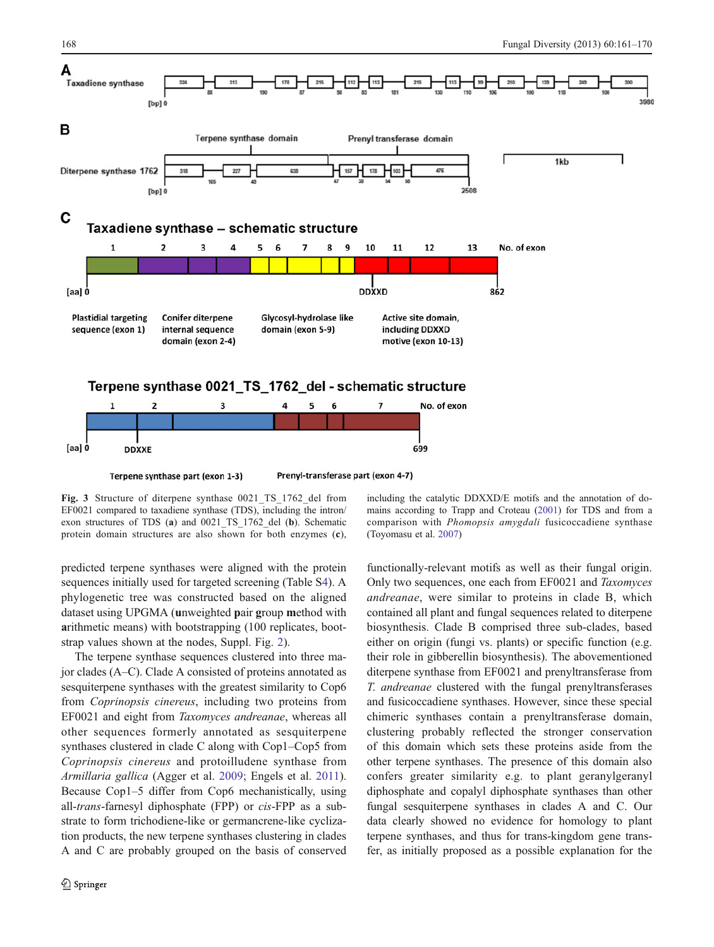<span id="page-7-0"></span>

Fig. 3 Structure of diterpene synthase 0021 TS 1762 del from EF0021 compared to taxadiene synthase (TDS), including the intron/ exon structures of TDS (a) and 0021\_TS\_1762\_del (b). Schematic protein domain structures are also shown for both enzymes (c),

predicted terpene synthases were aligned with the protein sequences initially used for targeted screening (Table S4). A phylogenetic tree was constructed based on the aligned dataset using UPGMA (unweighted pair group method with arithmetic means) with bootstrapping (100 replicates, bootstrap values shown at the nodes, Suppl. Fig. 2).

The terpene synthase sequences clustered into three major clades (A–C). Clade A consisted of proteins annotated as sesquiterpene synthases with the greatest similarity to Cop6 from Coprinopsis cinereus, including two proteins from EF0021 and eight from Taxomyces andreanae, whereas all other sequences formerly annotated as sesquiterpene synthases clustered in clade C along with Cop1–Cop5 from Coprinopsis cinereus and protoilludene synthase from Armillaria gallica (Agger et al. [2009;](#page-8-0) Engels et al. [2011](#page-8-0)). Because Cop1–5 differ from Cop6 mechanistically, using all-trans-farnesyl diphosphate (FPP) or cis-FPP as a substrate to form trichodiene-like or germancrene-like cyclization products, the new terpene synthases clustering in clades A and C are probably grouped on the basis of conserved

including the catalytic DDXXD/E motifs and the annotation of domains according to Trapp and Croteau ([2001\)](#page-9-0) for TDS and from a comparison with Phomopsis amygdali fusicoccadiene synthase (Toyomasu et al. [2007\)](#page-9-0)

functionally-relevant motifs as well as their fungal origin. Only two sequences, one each from EF0021 and Taxomyces andreanae, were similar to proteins in clade B, which contained all plant and fungal sequences related to diterpene biosynthesis. Clade B comprised three sub-clades, based either on origin (fungi vs. plants) or specific function (e.g. their role in gibberellin biosynthesis). The abovementioned diterpene synthase from EF0021 and prenyltransferase from T. andreanae clustered with the fungal prenyltransferases and fusicoccadiene synthases. However, since these special chimeric synthases contain a prenyltransferase domain, clustering probably reflected the stronger conservation of this domain which sets these proteins aside from the other terpene synthases. The presence of this domain also confers greater similarity e.g. to plant geranylgeranyl diphosphate and copalyl diphosphate synthases than other fungal sesquiterpene synthases in clades A and C. Our data clearly showed no evidence for homology to plant terpene synthases, and thus for trans-kingdom gene transfer, as initially proposed as a possible explanation for the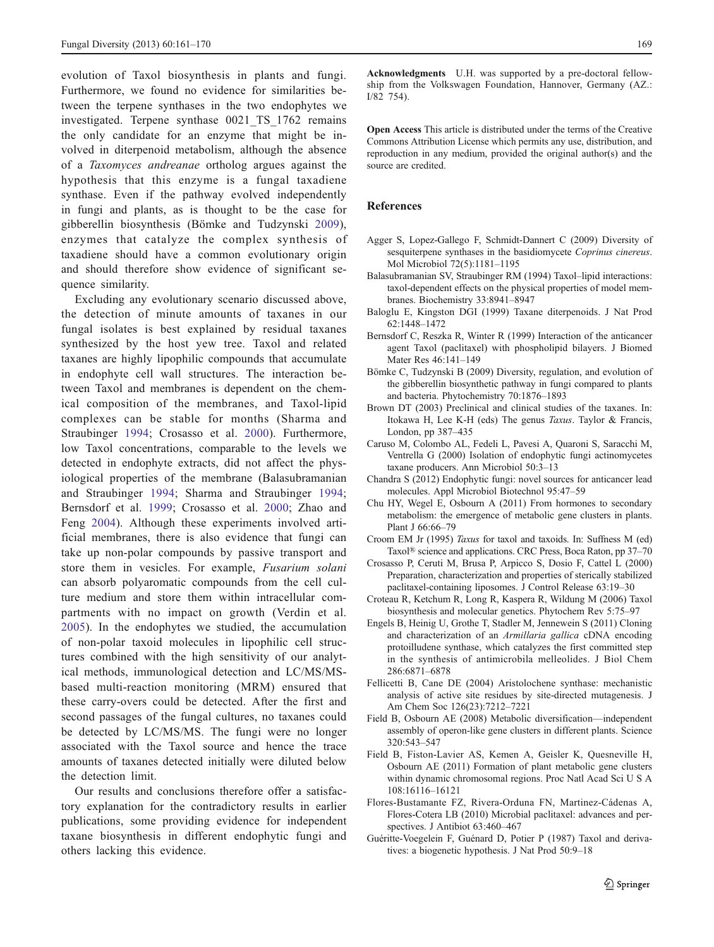<span id="page-8-0"></span>evolution of Taxol biosynthesis in plants and fungi. Furthermore, we found no evidence for similarities between the terpene synthases in the two endophytes we investigated. Terpene synthase 0021\_TS\_1762 remains the only candidate for an enzyme that might be involved in diterpenoid metabolism, although the absence of a Taxomyces andreanae ortholog argues against the hypothesis that this enzyme is a fungal taxadiene synthase. Even if the pathway evolved independently in fungi and plants, as is thought to be the case for gibberellin biosynthesis (Bömke and Tudzynski 2009), enzymes that catalyze the complex synthesis of taxadiene should have a common evolutionary origin and should therefore show evidence of significant sequence similarity.

Excluding any evolutionary scenario discussed above, the detection of minute amounts of taxanes in our fungal isolates is best explained by residual taxanes synthesized by the host yew tree. Taxol and related taxanes are highly lipophilic compounds that accumulate in endophyte cell wall structures. The interaction between Taxol and membranes is dependent on the chemical composition of the membranes, and Taxol-lipid complexes can be stable for months (Sharma and Straubinger [1994](#page-9-0); Crosasso et al. 2000). Furthermore, low Taxol concentrations, comparable to the levels we detected in endophyte extracts, did not affect the physiological properties of the membrane (Balasubramanian and Straubinger 1994; Sharma and Straubinger [1994](#page-9-0); Bernsdorf et al. 1999; Crosasso et al. 2000; Zhao and Feng [2004\)](#page-9-0). Although these experiments involved artificial membranes, there is also evidence that fungi can take up non-polar compounds by passive transport and store them in vesicles. For example, Fusarium solani can absorb polyaromatic compounds from the cell culture medium and store them within intracellular compartments with no impact on growth (Verdin et al. [2005](#page-9-0)). In the endophytes we studied, the accumulation of non-polar taxoid molecules in lipophilic cell structures combined with the high sensitivity of our analytical methods, immunological detection and LC/MS/MSbased multi-reaction monitoring (MRM) ensured that these carry-overs could be detected. After the first and second passages of the fungal cultures, no taxanes could be detected by LC/MS/MS. The fungi were no longer associated with the Taxol source and hence the trace amounts of taxanes detected initially were diluted below the detection limit.

Our results and conclusions therefore offer a satisfactory explanation for the contradictory results in earlier publications, some providing evidence for independent taxane biosynthesis in different endophytic fungi and others lacking this evidence.

Acknowledgments U.H. was supported by a pre-doctoral fellowship from the Volkswagen Foundation, Hannover, Germany (AZ.: I/82 754).

Open Access This article is distributed under the terms of the Creative Commons Attribution License which permits any use, distribution, and reproduction in any medium, provided the original author(s) and the source are credited.

#### References

- Agger S, Lopez-Gallego F, Schmidt-Dannert C (2009) Diversity of sesquiterpene synthases in the basidiomycete Coprinus cinereus. Mol Microbiol 72(5):1181–1195
- Balasubramanian SV, Straubinger RM (1994) Taxol–lipid interactions: taxol-dependent effects on the physical properties of model membranes. Biochemistry 33:8941–8947
- Baloglu E, Kingston DGI (1999) Taxane diterpenoids. J Nat Prod 62:1448–1472
- Bernsdorf C, Reszka R, Winter R (1999) Interaction of the anticancer agent Taxol (paclitaxel) with phospholipid bilayers. J Biomed Mater Res 46:141–149
- Bömke C, Tudzynski B (2009) Diversity, regulation, and evolution of the gibberellin biosynthetic pathway in fungi compared to plants and bacteria. Phytochemistry 70:1876–1893
- Brown DT (2003) Preclinical and clinical studies of the taxanes. In: Itokawa H, Lee K-H (eds) The genus Taxus. Taylor & Francis, London, pp 387–435
- Caruso M, Colombo AL, Fedeli L, Pavesi A, Quaroni S, Saracchi M, Ventrella G (2000) Isolation of endophytic fungi actinomycetes taxane producers. Ann Microbiol 50:3–13
- Chandra S (2012) Endophytic fungi: novel sources for anticancer lead molecules. Appl Microbiol Biotechnol 95:47–59
- Chu HY, Wegel E, Osbourn A (2011) From hormones to secondary metabolism: the emergence of metabolic gene clusters in plants. Plant J 66:66–79
- Croom EM Jr (1995) Taxus for taxol and taxoids. In: Suffness M (ed) Taxol® science and applications. CRC Press, Boca Raton, pp 37–70
- Crosasso P, Ceruti M, Brusa P, Arpicco S, Dosio F, Cattel L (2000) Preparation, characterization and properties of sterically stabilized paclitaxel-containing liposomes. J Control Release 63:19–30
- Croteau R, Ketchum R, Long R, Kaspera R, Wildung M (2006) Taxol biosynthesis and molecular genetics. Phytochem Rev 5:75–97
- Engels B, Heinig U, Grothe T, Stadler M, Jennewein S (2011) Cloning and characterization of an Armillaria gallica cDNA encoding protoilludene synthase, which catalyzes the first committed step in the synthesis of antimicrobila melleolides. J Biol Chem 286:6871–6878
- Fellicetti B, Cane DE (2004) Aristolochene synthase: mechanistic analysis of active site residues by site-directed mutagenesis. J Am Chem Soc 126(23):7212–7221
- Field B, Osbourn AE (2008) Metabolic diversification—independent assembly of operon-like gene clusters in different plants. Science 320:543–547
- Field B, Fiston-Lavier AS, Kemen A, Geisler K, Quesneville H, Osbourn AE (2011) Formation of plant metabolic gene clusters within dynamic chromosomal regions. Proc Natl Acad Sci U S A 108:16116–16121
- Flores-Bustamante FZ, Rivera-Orduna FN, Martinez-Cádenas A, Flores-Cotera LB (2010) Microbial paclitaxel: advances and perspectives. J Antibiot 63:460–467
- Guéritte-Voegelein F, Guénard D, Potier P (1987) Taxol and derivatives: a biogenetic hypothesis. J Nat Prod 50:9–18